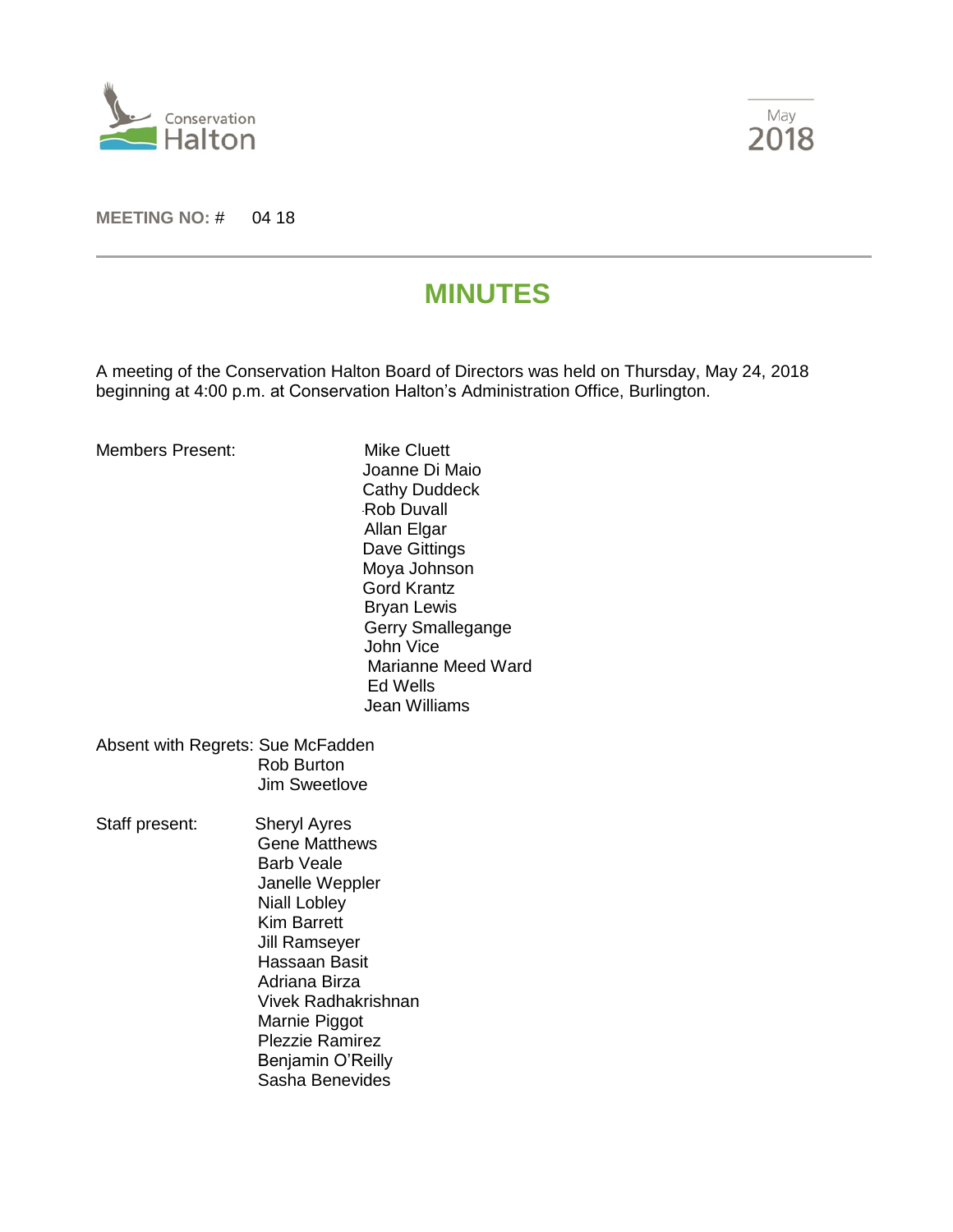



**MEETING NO:** # 04 18

# **MINUTES**

A meeting of the Conservation Halton Board of Directors was held on Thursday, May 24, 2018 beginning at 4:00 p.m. at Conservation Halton's Administration Office, Burlington.

| Members Present:                  |                             | Mike Cluett<br>Joanne Di Maio<br><b>Cathy Duddeck</b><br><b>Rob Duvall</b><br>Allan Elgar<br>Dave Gittings<br>Moya Johnson<br>Gord Krantz<br><b>Bryan Lewis</b><br>Gerry Smallegange<br>John Vice<br>Marianne Meed Ward<br>Ed Wells<br>Jean Williams |
|-----------------------------------|-----------------------------|------------------------------------------------------------------------------------------------------------------------------------------------------------------------------------------------------------------------------------------------------|
| Absent with Regrets: Sue McFadden | Rob Burton<br>Jim Sweetlove |                                                                                                                                                                                                                                                      |
| Staff present:                    | <b>Sheryl Ayres</b>         |                                                                                                                                                                                                                                                      |

 Gene Matthews Barb Veale Janelle Weppler Niall Lobley Kim Barrett Jill Ramseyer Hassaan Basit Adriana Birza Vivek Radhakrishnan Marnie Piggot Plezzie Ramirez Benjamin O'Reilly Sasha Benevides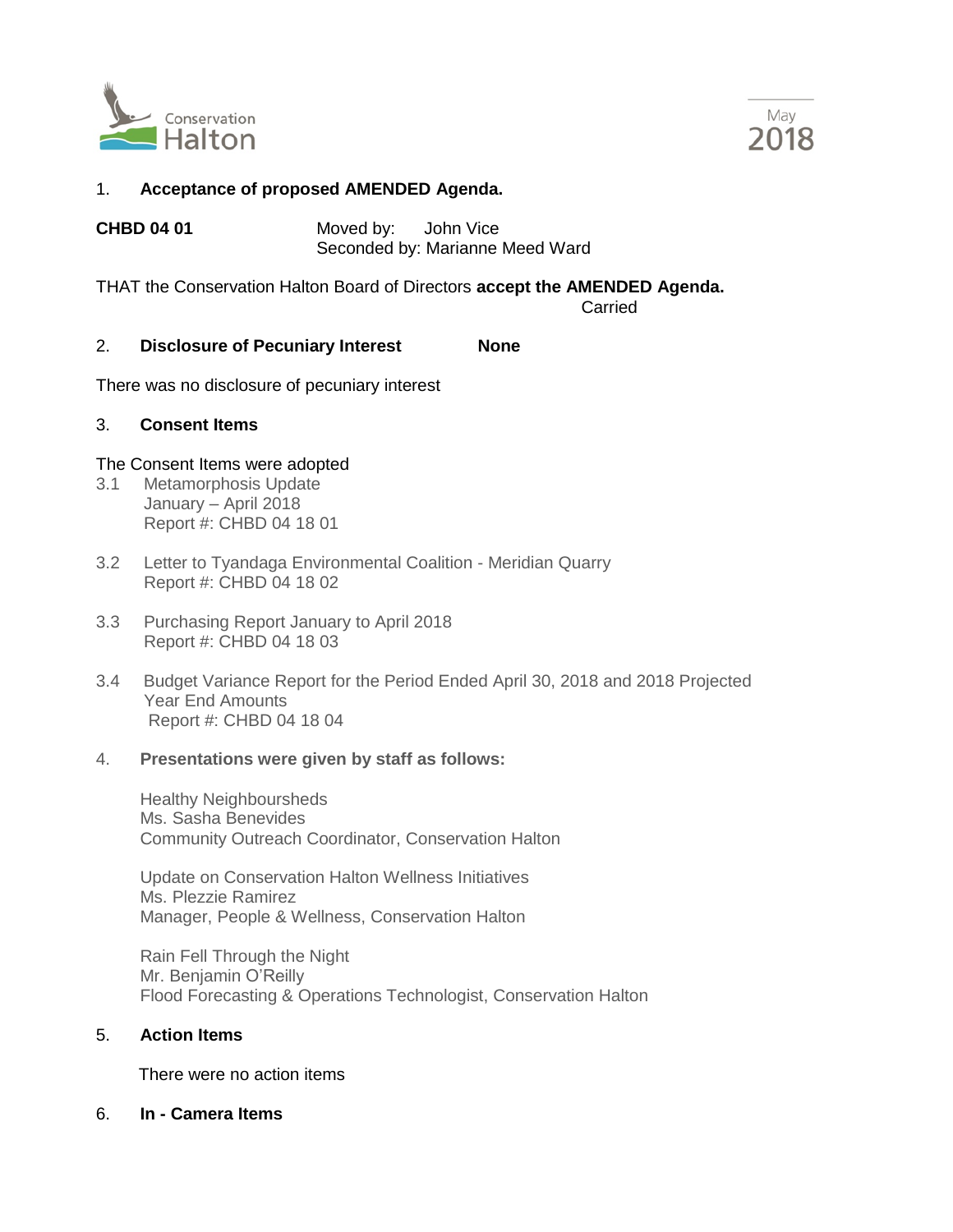



# 1. **Acceptance of proposed AMENDED Agenda.**

**CHBD 04 01** Moved by: John Vice Seconded by: Marianne Meed Ward

THAT the Conservation Halton Board of Directors **accept the AMENDED Agenda.**

Carried

### 2. **Disclosure of Pecuniary Interest None**

There was no disclosure of pecuniary interest

### 3. **Consent Items**

### The Consent Items were adopted

- 3.1 Metamorphosis Update January – April 2018 Report #: CHBD 04 18 01
- 3.2 Letter to Tyandaga Environmental Coalition Meridian Quarry Report #: CHBD 04 18 02
- 3.3 Purchasing Report January to April 2018 Report #: CHBD 04 18 03
- 3.4 Budget Variance Report for the Period Ended April 30, 2018 and 2018 Projected Year End Amounts Report #: CHBD 04 18 04

### 4. **Presentations were given by staff as follows:**

Healthy Neighboursheds Ms. Sasha Benevides Community Outreach Coordinator, Conservation Halton

Update on Conservation Halton Wellness Initiatives Ms. Plezzie Ramirez Manager, People & Wellness, Conservation Halton

Rain Fell Through the Night Mr. Benjamin O'Reilly Flood Forecasting & Operations Technologist, Conservation Halton

# 5. **Action Items**

There were no action items

6. **In - Camera Items**